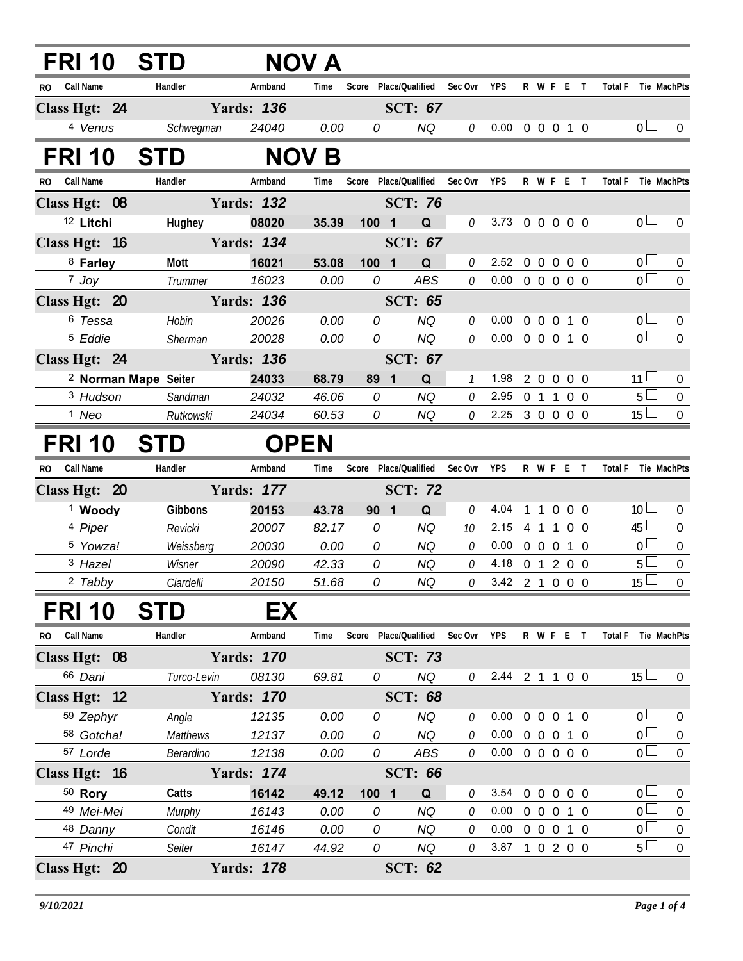| FRI 10                      | <b>STD</b>                      |                   | <b>NOV A</b> |                               |                       |               |                        |   |                |                     |            |                     |                  |
|-----------------------------|---------------------------------|-------------------|--------------|-------------------------------|-----------------------|---------------|------------------------|---|----------------|---------------------|------------|---------------------|------------------|
| Call Name<br>RO.            | Handler                         | Armband           | Time         |                               | Score Place/Qualified | Sec Ovr       | <b>YPS</b>             |   | R W F E T      |                     |            | Total F Tie MachPts |                  |
| Class Hgt: 24               |                                 | <b>Yards: 136</b> |              |                               | <b>SCT: 67</b>        |               |                        |   |                |                     |            |                     |                  |
| 4 Venus                     | Schwegman                       | 24040             | 0.00         | 0                             | <b>NQ</b>             | 0             | 0.00 0 0 0 1 0         |   |                |                     |            | 0 <sub>1</sub>      | $\overline{0}$   |
| FRI 10                      | <b>STD</b>                      |                   | <b>NOV B</b> |                               |                       |               |                        |   |                |                     |            |                     |                  |
| <b>Call Name</b><br>RO.     | Handler                         | Armband           | Time         |                               | Score Place/Qualified | Sec Ovr       | <b>YPS</b>             |   | R W F E T      |                     |            | <b>Total F</b>      | Tie MachPts      |
| Class Hgt: 08               |                                 | <b>Yards: 132</b> |              |                               | <b>SCT: 76</b>        |               |                        |   |                |                     |            |                     |                  |
| <sup>12</sup> Litchi        | Hughey                          | 08020             | 35.39        | 100<br>$\blacksquare$         | Q                     | 0             | 3.73 0 0 0 0 0         |   |                |                     |            | 0 <sup>1</sup>      | $\overline{0}$   |
| Class Hgt: 16               |                                 | <b>Yards: 134</b> |              |                               | <b>SCT: 67</b>        |               |                        |   |                |                     |            |                     |                  |
| 8 Farley                    | Mott                            | 16021             | 53.08        | 100 1                         | Q                     | 0             | 2.52 0 0 0 0 0         |   |                |                     |            | 0 <sub>0</sub>      | $\overline{0}$   |
| $7$ Joy                     | Trummer                         | 16023             | 0.00         | 0                             | <b>ABS</b>            | 0             | 0.00                   |   | 0 0 0 0 0      |                     |            | $\overline{0}$      | $\mathbf 0$      |
| Class Hgt: 20               |                                 | <b>Yards: 136</b> |              |                               | <b>SCT: 65</b>        |               |                        |   |                |                     |            |                     |                  |
| 6 Tessa                     | Hobin                           | 20026             | 0.00         | 0                             | <b>NQ</b>             | 0             | 0.00                   |   | 0 0 0 1 0      |                     |            | 0 <sub>0</sub>      | $\pmb{0}$        |
| <sup>5</sup> Eddie          | Sherman                         | 20028             | 0.00         | 0                             | <b>NQ</b>             | 0             | 0.00                   |   | 0 0 0 1 0      |                     |            | $\overline{0}$      | $\overline{0}$   |
| Class Hgt: 24               |                                 | <b>Yards: 136</b> |              |                               | <b>SCT: 67</b>        |               |                        |   |                |                     |            |                     |                  |
|                             | <sup>2</sup> Norman Mape Seiter | 24033             | 68.79        | 89<br>$\overline{\mathbf{1}}$ | Q                     | $\mathcal{I}$ | 1.98                   |   | 2 0 0 0 0      |                     |            | $11 \Box$           | $\pmb{0}$        |
| <sup>3</sup> Hudson         | Sandman                         | 24032             | 46.06        | 0                             | <b>NQ</b>             | 0             | 2.95                   |   | 0 1 1 0 0      |                     |            | $5\Box$             | $\mathbf 0$      |
| <sup>1</sup> Neo            | Rutkowski                       | 24034             | 60.53        | 0                             | <b>NQ</b>             | 0             | 2.25 3 0 0 0 0         |   |                |                     |            | $15\Box$            | $\overline{0}$   |
| FRI 10                      | <b>STD</b>                      | <b>OPEN</b>       |              |                               |                       |               |                        |   |                |                     |            |                     |                  |
| Call Name<br>R <sub>0</sub> | Handler                         | Armband           | Time         | Score                         | Place/Qualified       | Sec Ovr       | <b>YPS</b>             |   | R W F E T      |                     |            | <b>Total F</b>      | Tie MachPts      |
| Class Hgt: 20               |                                 | <b>Yards: 177</b> |              |                               | <b>SCT: 72</b>        |               |                        |   |                |                     |            |                     |                  |
| <sup>1</sup> Woody          | Gibbons                         | 20153             | 43.78        | 90<br>$\overline{\mathbf{1}}$ | Q                     | 0             | 4.04                   | 1 | $\overline{1}$ | $\overline{0}$      | $0\quad 0$ | 10 <sup>1</sup>     | $\overline{0}$   |
| 4 Piper                     | Revicki                         | 20007             | 82.17        | 0                             | <b>NQ</b>             | 10            | 2.15                   |   | 4 1 1          |                     | $0\quad 0$ | $45 \Box$           | $\pmb{0}$        |
| <sup>5</sup> Yowza!         | Weissberg                       | 20030             | 0.00         | 0                             | <b>NQ</b>             | 0             | 0.00                   |   | 0 0 0 1 0      |                     |            | $\overline{0}$      | $\boldsymbol{0}$ |
| <sup>3</sup> Hazel          | Wisner                          | 20090             | 42.33        | 0                             | <b>NQ</b>             | 0             | 4.18                   |   | 0 1 2 0 0      |                     |            | $5\Box$             | $\boldsymbol{0}$ |
| 2 Tabby                     | Ciardelli                       | 20150             | 51.68        | 0                             | <b>NQ</b>             | 0             | $3.42 \quad 2 \quad 1$ |   |                | $0 \quad 0 \quad 0$ |            | $15\overline{\Box}$ | $\overline{0}$   |
| FRI 10 STD                  |                                 | EX                |              |                               |                       |               |                        |   |                |                     |            |                     |                  |
| RO Call Name                | Handler                         | Armband           | Time         | Score                         | Place/Qualified       | Sec Ovr       | <b>YPS</b>             |   | R W F E T      |                     |            | <b>Total F</b>      | Tie MachPts      |
| Class Hgt: 08               |                                 | <b>Yards: 170</b> |              |                               | <b>SCT: 73</b>        |               |                        |   |                |                     |            |                     |                  |
| 66 Dani                     | Turco-Levin                     | 08130             | 69.81        | 0                             | <b>NQ</b>             | 0             | 2.44 2 1 1 0 0         |   |                |                     |            | $15 \Box$           | 0                |
| Class Hgt: 12               |                                 | <b>Yards: 170</b> |              |                               | <b>SCT: 68</b>        |               |                        |   |                |                     |            |                     |                  |
| 59 Zephyr                   | Angle                           | 12135             | 0.00         | 0                             | <b>NQ</b>             | 0             | 0.00                   |   | 0 0 0 1 0      |                     |            | 0 <sub>0</sub>      | $\overline{0}$   |
| 58 Gotcha!                  | <b>Matthews</b>                 | 12137             | 0.00         | 0                             | <b>NQ</b>             | 0             | 0.00                   |   | 0 0 0 1 0      |                     |            | $\overline{0}$      | $\boldsymbol{0}$ |
| 57 Lorde                    | Berardino                       | 12138             | 0.00         | 0                             | ABS                   | 0             | 0.00                   |   | 00000          |                     |            | 0 <sub>0</sub>      | $\boldsymbol{0}$ |
| Class Hgt: 16               |                                 | <b>Yards: 174</b> |              |                               | <b>SCT: 66</b>        |               |                        |   |                |                     |            |                     |                  |
| $50$ Rory                   | Catts                           | 16142             | 49.12        | 100 1                         | Q                     | 0             | 3.54                   |   | 0 0 0 0 0      |                     |            | $\overline{0}$      | $\boldsymbol{0}$ |
| 49 Mei-Mei                  | Murphy                          | 16143             | 0.00         | 0                             | NQ                    | 0             | 0.00                   |   | $0\quad 0$     | $\overline{0}$      | 1 0        | $\overline{0}$      | $\boldsymbol{0}$ |
| 48 Danny                    | Condit                          | 16146             | 0.00         | 0                             | <b>NQ</b>             | 0             | 0.00                   |   | 0 0 0 1 0      |                     |            | 0 <sub>0</sub>      | $\boldsymbol{0}$ |
| 47 Pinchi                   | Seiter                          | 16147             | 44.92        | 0                             | <b>NQ</b>             | 0             | 3.87                   |   | 10200          |                     |            | $5\perp$            | $\mathbf 0$      |
| Class Hgt: 20               |                                 | <b>Yards: 178</b> |              |                               | <b>SCT: 62</b>        |               |                        |   |                |                     |            |                     |                  |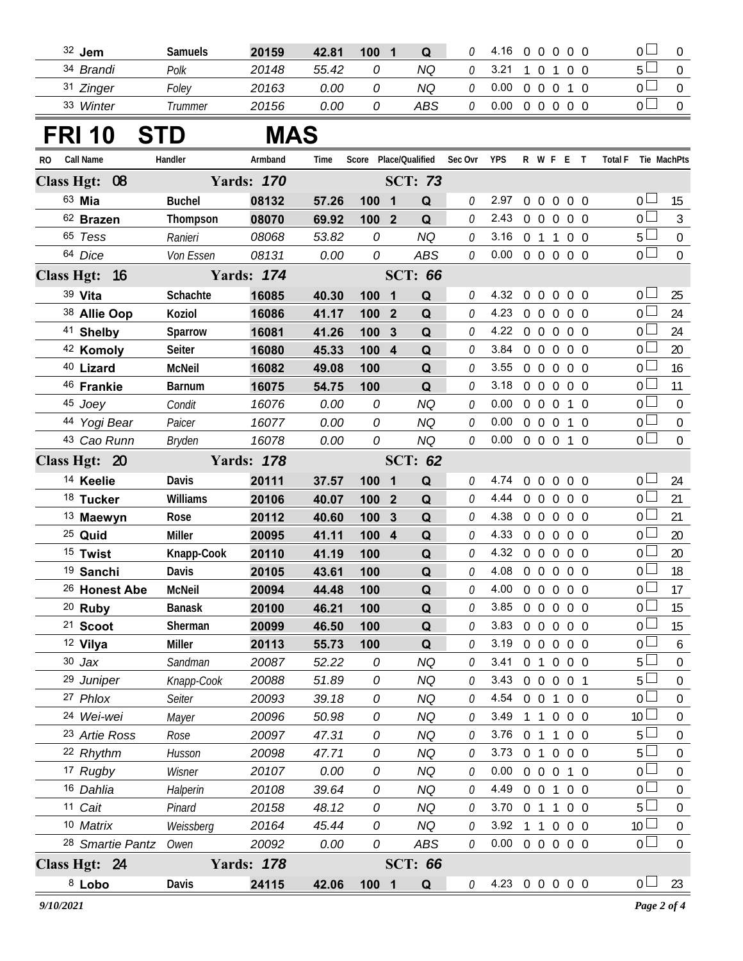| 32 Jem               | <b>Samuels</b> | 20159 | 42.81 | 100 | Q   |      |  |  |  |        |  |
|----------------------|----------------|-------|-------|-----|-----|------|--|--|--|--------|--|
| <sup>34</sup> Brandi | Polk           | 20148 | 55.42 |     | ΝQ  | 3.21 |  |  |  | $\sim$ |  |
| <sup>31</sup> Zinger | Folev          | 20163 | 0.00  |     | ΝQ  | ა.00 |  |  |  | --     |  |
| 33 Winter            | Trummer        | 20156 | 0.00  |     | ABS | 0.00 |  |  |  |        |  |

## **FRI 10 STD MAS**

| <b>Call Name</b><br>RO. |                          | Handler       | Armband           | Time  |       |                         |                | Score Place/Qualified Sec Ovr YPS |                            |                |                   | R W F E T         |                | Total F Tie MachPts |                 |                  |
|-------------------------|--------------------------|---------------|-------------------|-------|-------|-------------------------|----------------|-----------------------------------|----------------------------|----------------|-------------------|-------------------|----------------|---------------------|-----------------|------------------|
| Class Hgt: 08           |                          |               | <b>Yards: 170</b> |       |       |                         | <b>SCT: 73</b> |                                   |                            |                |                   |                   |                |                     |                 |                  |
| 63 Mia                  |                          | <b>Buchel</b> | 08132             | 57.26 | 100   | $\blacksquare$          | Q              | 0                                 | 2.97                       |                | $0\quad 0$        | $\overline{0}$    | $0\quad 0$     |                     | $0 -$           | 15               |
| 62 Brazen               |                          | Thompson      | 08070             | 69.92 | 100 2 |                         | Q              | 0                                 | 2.43                       |                | $0\quad 0$        | $\overline{0}$    | $0\quad 0$     |                     | 0 <sup>1</sup>  | $\mathfrak{Z}$   |
| 65 Tess                 |                          | Ranieri       | 08068             | 53.82 | 0     |                         | <b>NQ</b>      | 0                                 | 3.16                       |                | 0 <sub>1</sub>    | $\overline{1}$    | $0\quad 0$     |                     | 5 <sup>1</sup>  | $\boldsymbol{0}$ |
| 64 Dice                 |                          | Von Essen     | 08131             | 0.00  | 0     |                         | ABS            | 0                                 | 0.00                       |                |                   | 00000             |                |                     | 0 <sub>0</sub>  | $\mathbf 0$      |
| Class Hgt: 16           |                          |               | <b>Yards: 174</b> |       |       |                         | <b>SCT: 66</b> |                                   |                            |                |                   |                   |                |                     |                 |                  |
| 39 Vita                 |                          | Schachte      | 16085             | 40.30 | 100   | $\overline{\mathbf{1}}$ | Q              | 0                                 | 4.32                       |                | $0\quad 0$        | $\overline{0}$    | $0\quad 0$     |                     | 0 <sup>1</sup>  | 25               |
| 38 Allie Oop            |                          | Koziol        | 16086             | 41.17 | 100 2 |                         | Q              | 0                                 | 4.23                       |                | $0\quad 0$        | $\mathbf 0$       | 0 <sub>0</sub> |                     | 0 <sup>1</sup>  | 24               |
| 41 Shelby               |                          | Sparrow       | 16081             | 41.26 | 100   | $\mathbf{3}$            | Q              | 0                                 | 4.22                       |                | $0\quad 0$        | $\mathbf 0$       | $0\quad 0$     |                     | 0 <sup>1</sup>  | 24               |
| 42 Komoly               |                          | Seiter        | 16080             | 45.33 | 100 4 |                         | Q              | 0                                 | 3.84                       |                | $0\quad 0\quad 0$ |                   | $0\quad 0$     |                     | 0 <sup>1</sup>  | 20               |
| 40 Lizard               |                          | <b>McNeil</b> | 16082             | 49.08 | 100   |                         | Q              | 0                                 | 3.55                       |                | $0\quad 0$        | $\mathbf 0$       | $0\quad 0$     |                     | 0 L             | 16               |
| 46 Frankie              |                          | <b>Barnum</b> | 16075             | 54.75 | 100   |                         | Q              | 0                                 | 3.18                       |                | $0\quad 0\quad 0$ |                   | 0 <sub>0</sub> |                     | 0 <sub>0</sub>  | 11               |
| 45 Joey                 |                          | Condit        | 16076             | 0.00  | 0     |                         | <b>NQ</b>      | 0                                 | 0.00                       |                | $0\quad 0$        | $\mathbf 0$       | $1\quad0$      |                     | $0 -$           | $\mathbf 0$      |
| 44 Yogi Bear            |                          | Paicer        | 16077             | 0.00  | 0     |                         | <b>NQ</b>      | 0                                 | 0.00                       |                |                   | 0 0 0 1 0         |                |                     | 0 <sub>0</sub>  | $\mathbf 0$      |
| 43 Cao Runn             |                          | Bryden        | 16078             | 0.00  | 0     |                         | <b>NQ</b>      | 0                                 | 0.00                       |                |                   | 0 0 0 1 0         |                |                     | 0 <sub>0</sub>  | $\overline{0}$   |
| Class Hgt: 20           |                          |               | <b>Yards: 178</b> |       |       |                         | <b>SCT: 62</b> |                                   |                            |                |                   |                   |                |                     |                 |                  |
| <sup>14</sup> Keelie    |                          | Davis         | 20111             | 37.57 | 100   | $\overline{\mathbf{1}}$ | Q              | 0                                 | 4.74                       |                | $0\quad 0$        | $\overline{0}$    | $0\quad 0$     |                     | $0-$            | 24               |
| 18 Tucker               |                          | Williams      | 20106             | 40.07 | 100   | $\overline{\mathbf{2}}$ | Q              | 0                                 | 4.44                       |                | $0\quad 0$        | $\mathbf 0$       | $0\quad 0$     |                     | 0 L             | 21               |
| <sup>13</sup> Maewyn    |                          | Rose          | 20112             | 40.60 | 100 3 |                         | Q              | 0                                 | 4.38                       |                | $0\quad 0\quad 0$ |                   | $0\quad 0$     |                     | 0 <sup>2</sup>  | 21               |
| <sup>25</sup> Quid      |                          | <b>Miller</b> | 20095             | 41.11 | 100   | $\overline{4}$          | Q              | 0                                 | 4.33                       |                | $0\quad 0\quad 0$ |                   | $0\quad 0$     |                     | 0 L             | 20               |
| <sup>15</sup> Twist     |                          | Knapp-Cook    | 20110             | 41.19 | 100   |                         | Q              | 0                                 | 4.32                       |                | $0\quad 0\quad 0$ |                   | $0\quad 0$     |                     | 0 <sup>L</sup>  | 20               |
| 19 Sanchi               |                          | Davis         | 20105             | 43.61 | 100   |                         | Q              | 0                                 | 4.08                       |                | $0\quad 0$        | $\mathbf 0$       | $0\quad 0$     |                     | 0 l             | 18               |
|                         | <sup>26</sup> Honest Abe | <b>McNeil</b> | 20094             | 44.48 | 100   |                         | Q              | 0                                 | 4.00                       |                | $0\quad 0\quad 0$ |                   | $0\quad 0$     |                     | 0 <sub>0</sub>  | 17               |
| <sup>20</sup> Ruby      |                          | <b>Banask</b> | 20100             | 46.21 | 100   |                         | Q              | 0                                 | 3.85                       |                | $0\quad 0$        | $\overline{0}$    | $0\quad 0$     |                     | 0 l             | 15               |
| <sup>21</sup> Scoot     |                          | Sherman       | 20099             | 46.50 | 100   |                         | Q              | 0                                 | 3.83                       |                | $0\quad 0\quad 0$ |                   | $0\quad 0$     |                     | 0 <sup>1</sup>  | 15               |
| 12 Vilya                |                          | <b>Miller</b> | 20113             | 55.73 | 100   |                         | Q              | 0                                 | 3.19                       |                | $0\quad 0$        | $\mathbf 0$       | $0\quad 0$     |                     | 0 L             | 6                |
| $30$ Jax                |                          | Sandman       | 20087             | 52.22 | 0     |                         | <b>NQ</b>      | 0                                 | 3.41                       |                | 0 <sub>1</sub>    | $\overline{0}$    | $0\quad 0$     |                     | $5-$            | $\mathbf 0$      |
| 29 Juniper              |                          | Knapp-Cook    | 20088             | 51.89 | 0     |                         | <b>NQ</b>      | 0                                 | 3.43 0 0 0 0 1             |                |                   |                   |                |                     | 5 <sup>1</sup>  | $\boldsymbol{0}$ |
| 27 Phlox                |                          | Seiter        | 20093             | 39.18 | 0     |                         | <b>NQ</b>      | 0                                 | 4.54                       |                | $0 \t0 \t1$       |                   | $0\quad 0$     |                     | 0 L             | $\mathbf 0$      |
| 24 Wei-wei              |                          | Mayer         | 20096             | 50.98 | 0     |                         | NQ             | 0                                 | 3.49                       |                | 11                | $0\quad 0\quad 0$ |                |                     | 10 <sup>1</sup> | 0                |
| 23 Artie Ross           |                          | Rose          | 20097             | 47.31 | 0     |                         | NQ             | 0                                 | 3.76                       | 0 <sub>1</sub> |                   | $\overline{1}$    | $0\quad 0$     |                     | 5 <sup>1</sup>  | $\boldsymbol{0}$ |
| 22 Rhythm               |                          | Husson        | 20098             | 47.71 | 0     |                         | <b>NQ</b>      | 0                                 | 3.73                       |                | 0 <sub>1</sub>    | $0\quad 0\quad 0$ |                |                     | 5 <sup>1</sup>  | 0                |
| 17 Rugby                |                          | Wisner        | 20107             | 0.00  | 0     |                         | <b>NQ</b>      | 0                                 | 0.00                       |                | $0\quad 0\quad 0$ |                   | $1\quad0$      |                     | 0 <sup>L</sup>  | $\boldsymbol{0}$ |
| 16 Dahlia               |                          | Halperin      | 20108             | 39.64 | 0     |                         | <b>NQ</b>      | 0                                 | 4.49                       |                | $0 \t 0 \t 1$     |                   | $0\quad 0$     |                     | 0 l             | 0                |
| 11 Cait                 |                          | Pinard        | 20158             | 48.12 | 0     |                         | <b>NQ</b>      | 0                                 | 3.70                       |                | $0$ 1 1           |                   | $0\quad 0$     |                     | $5+$            | $\overline{0}$   |
| 10 Matrix               |                          | Weissberg     | 20164             | 45.44 | 0     |                         | <b>NQ</b>      | 0                                 | 3.92                       |                | 1 1               | $\mathbf 0$       | $0\quad 0$     |                     | 10 <sup>1</sup> | $\mathbf 0$      |
|                         | 28 Smartie Pantz         | Owen          | 20092             | 0.00  | 0     |                         | ABS            | 0                                 | $0.00 \t0 \t0 \t0 \t0 \t0$ |                |                   |                   |                |                     | 0 <sup>2</sup>  | $\boldsymbol{0}$ |
| Class Hgt: 24           |                          |               | <b>Yards: 178</b> |       |       |                         | <b>SCT: 66</b> |                                   |                            |                |                   |                   |                |                     |                 |                  |
| 8 Lobo                  |                          | Davis         | 24115             | 42.06 | 1001  |                         | $\mathbf Q$    | 0                                 | 4.23 0 0 0 0 0             |                |                   |                   |                |                     | 0 <sub>1</sub>  | 23               |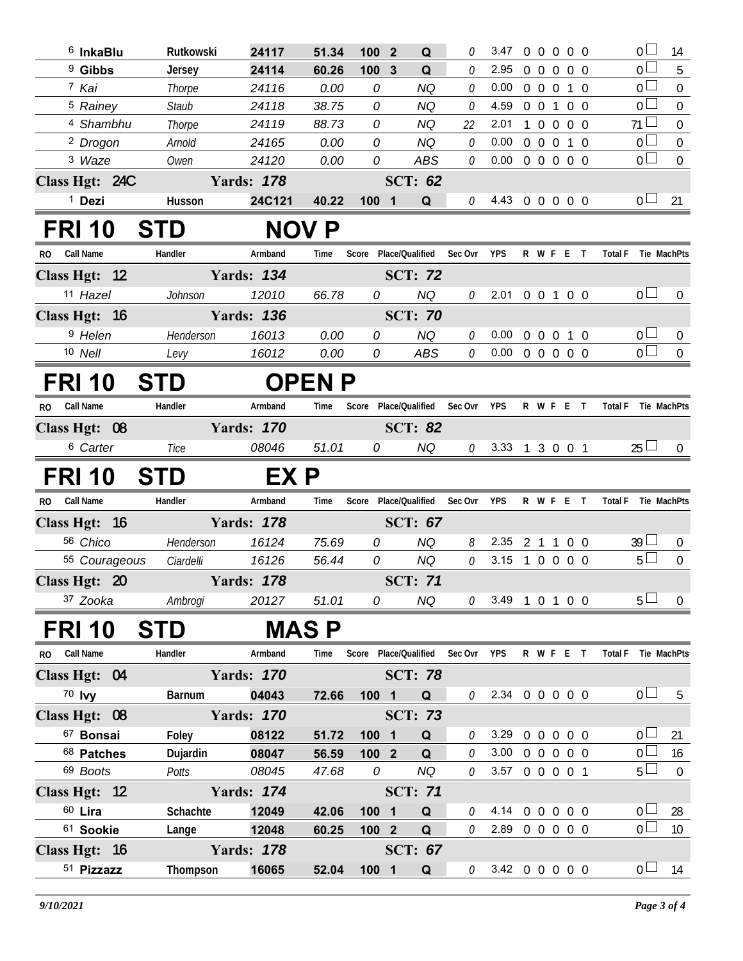| $6$ InkaBlu                   | Rutkowski     | 24117             | 51.34         | 100 2                 | Q                             | 0       | 3.47                       | $\mathbf 0$    | $\overline{0}$    | $0\quad 0\quad 0$ | $\overline{0}$      | 14               |
|-------------------------------|---------------|-------------------|---------------|-----------------------|-------------------------------|---------|----------------------------|----------------|-------------------|-------------------|---------------------|------------------|
| <sup>9</sup> Gibbs            | Jersey        | 24114             | 60.26         | 100 3                 | Q                             | 0       | 2.95                       | $0\quad 0$     | $\mathbf 0$       | $0\quad 0$        | $\overline{0}$      | 5                |
| 7 Kai                         | Thorpe        | 24116             | 0.00          | 0                     | <b>NQ</b>                     | 0       | 0.00                       | $0\quad 0$     | $\mathbf 0$       | 1 0               | $\overline{0}$      | $\mathbf 0$      |
| <sup>5</sup> Rainey           | <b>Staub</b>  | 24118             | 38.75         | 0                     | <b>NQ</b>                     | 0       | 4.59                       | $0\quad 0$     | $\overline{1}$    | $0\quad 0$        | $\overline{0}$      | $\boldsymbol{0}$ |
| <sup>4</sup> Shambhu          | Thorpe        | 24119             | 88.73         | 0                     | <b>NQ</b>                     | 22      | 2.01                       | $1\quad 0$     | $\overline{0}$    | $0\quad 0$        | 71                  | $\mathbf 0$      |
| <sup>2</sup> Drogon           | Arnold        | 24165             | 0.00          | 0                     | <b>NQ</b>                     | 0       | 0.00                       |                | $0\quad 0\quad 0$ | $1\quad0$         | $\overline{0}$      | $\boldsymbol{0}$ |
| 3 Waze                        | Owen          | 24120             | 0.00          | 0                     | <b>ABS</b>                    | 0       | 0.00                       |                | 0 0 0 0 0         |                   | $\overline{0}$      | $\mathbf 0$      |
| Class Hgt: 24C                |               | <b>Yards: 178</b> |               |                       | <b>SCT: 62</b>                |         |                            |                |                   |                   |                     |                  |
| <sup>1</sup> Dezi             | Husson        | 24C121            | 40.22         | 1001                  | Q                             | 0       | 4.43 0 0 0 0 0             |                |                   |                   | 0 <sub>l</sub>      | 21               |
| <b>FRI 10</b>                 | <b>STD</b>    |                   | <b>NOV P</b>  |                       |                               |         |                            |                |                   |                   |                     |                  |
| <b>Call Name</b><br>RO.       | Handler       | Armband           | Time          |                       | Score Place/Qualified Sec Ovr |         | <b>YPS</b>                 |                | R W F E T         |                   | Total F Tie MachPts |                  |
| Class Hgt: 12                 |               | <b>Yards: 134</b> |               |                       | <b>SCT: 72</b>                |         |                            |                |                   |                   |                     |                  |
| 11 Hazel                      | Johnson       | 12010             | 66.78         | 0                     | <b>NQ</b>                     | 0       | 2.01 0 0 1 0 0             |                |                   |                   | 0 <sub>0</sub>      | $\overline{0}$   |
| Class Hgt: 16                 |               | <b>Yards: 136</b> |               |                       | <b>SCT: 70</b>                |         |                            |                |                   |                   |                     |                  |
| <sup>9</sup> Helen            | Henderson     | 16013             | 0.00          | 0                     | <b>NQ</b>                     | 0       | 0.00                       | $0\quad 0$     | $\overline{0}$    | $1\quad0$         | 0 <sub>1</sub>      | $\mathbf 0$      |
| 10 Nell                       | Levy          | 16012             | 0.00          | 0                     | <b>ABS</b>                    | 0       | $0.00 \t0 \t0 \t0 \t0 \t0$ |                |                   |                   | $\overline{0}$      | $\overline{0}$   |
| <b>FRI 10</b>                 | <b>STD</b>    |                   | <b>OPEN P</b> |                       |                               |         |                            |                |                   |                   |                     |                  |
| <b>Call Name</b><br><b>RO</b> | Handler       | Armband           | Time          | Score                 | Place/Qualified               | Sec Ovr | <b>YPS</b>                 |                | R W F E T         |                   | <b>Total F</b>      | Tie MachPts      |
| Class Hgt: 08                 |               | <b>Yards: 170</b> |               |                       | <b>SCT: 82</b>                |         |                            |                |                   |                   |                     |                  |
| <sup>6</sup> Carter           | Tice          | 08046             | 51.01         | 0                     | <b>NQ</b>                     | 0       | 3.33 1 3 0 0 1             |                |                   |                   | $25 \Box$           | $\overline{0}$   |
|                               |               |                   |               |                       |                               |         |                            |                |                   |                   |                     |                  |
|                               |               |                   |               |                       |                               |         |                            |                |                   |                   |                     |                  |
| <b>FRI 10</b>                 | <b>STD</b>    | EX P              |               |                       |                               |         |                            |                |                   |                   |                     |                  |
| <b>Call Name</b><br>RO.       | Handler       | Armband           | Time          | Score Place/Qualified |                               | Sec Ovr | <b>YPS</b>                 |                | R W F E T         |                   | Total F Tie MachPts |                  |
| Class Hgt: 16                 |               | <b>Yards: 178</b> |               |                       | <b>SCT: 67</b>                |         |                            |                |                   |                   |                     |                  |
| 56 Chico                      | Henderson     | 16124             | 75.69         | 0                     | <b>NQ</b>                     | 8       | 2.35                       | 2 <sub>1</sub> | $\overline{1}$    | 0 <sub>0</sub>    | $39 \Box$           | $\overline{0}$   |
| 55 Courageous                 | Ciardelli     | 16126             | 56.44         | 0                     | <b>NQ</b>                     | 0       | $3.15$ 1 0 0               |                |                   | $0\quad 0$        | 5 <sub>1</sub>      | $\boldsymbol{0}$ |
| Class Hgt: 20                 | Yards: 178    |                   |               |                       | <b>SCT: 71</b>                |         |                            |                |                   |                   |                     |                  |
| 37 Zooka                      | Ambrogi       | 20127             | 51.01         | 0                     | NQ.                           |         | $0$ 3.49 1 0 1 0 0         |                |                   |                   | $5\perp$            | $\overline{0}$   |
| <b>FRI 10</b>                 | <b>STD</b>    |                   | <b>MAS P</b>  |                       |                               |         |                            |                |                   |                   |                     |                  |
| <b>Call Name</b><br>RO.       | Handler       | Armband           | Time          | Score Place/Qualified |                               | Sec Ovr | <b>YPS</b>                 |                | R W F E T         |                   | <b>Total F</b>      | Tie MachPts      |
| Class Hgt: 04                 |               | <b>Yards: 170</b> |               |                       | <b>SCT: 78</b>                |         |                            |                |                   |                   |                     |                  |
| $70$ lvy                      | <b>Barnum</b> | 04043             | 72.66         | 100 1                 | Q                             | 0       | 2.34 0 0 0 0 0             |                |                   |                   | 0 <sub>l</sub>      | 5                |
| Class Hgt: 08                 |               | <b>Yards: 170</b> |               |                       | <b>SCT: 73</b>                |         |                            |                |                   |                   |                     |                  |
| 67 Bonsai                     | Foley         | 08122             | 51.72         | 1001                  | $\mathbf Q$                   | 0       | 3.29                       |                | 0 0 0 0 0         |                   | 0 <sub>1</sub>      | 21               |
| 68 Patches                    | Dujardin      | 08047             | 56.59         | $1002$                | Q                             | 0       | 3.00 0 0 0 0 0             |                |                   |                   | 0 <sup>1</sup>      | 16               |
| 69 Boots                      | Potts         | 08045             | 47.68         | 0                     | <b>NQ</b>                     | 0       | 3.57 0 0 0 0 1             |                |                   |                   | $5\Box$             | $\overline{0}$   |
| Class Hgt: 12                 |               | <b>Yards: 174</b> |               |                       | <b>SCT: 71</b>                |         |                            |                |                   |                   |                     |                  |
| $60$ Lira                     | Schachte      | 12049             | 42.06         | 100 1                 | Q                             | 0       | 4.14 0 0 0 0 0             |                |                   |                   | 0 <sub>l</sub>      | 28               |
| 61 Sookie                     | Lange         | 12048             | 60.25         | $1002$                | Q                             | 0       | 2.89 0 0 0 0 0             |                |                   |                   | $0\perp$            | 10               |
| Class Hgt: 16                 |               | <b>Yards: 178</b> |               |                       | <b>SCT: 67</b>                |         |                            |                |                   |                   | 0 <sub>l</sub>      |                  |